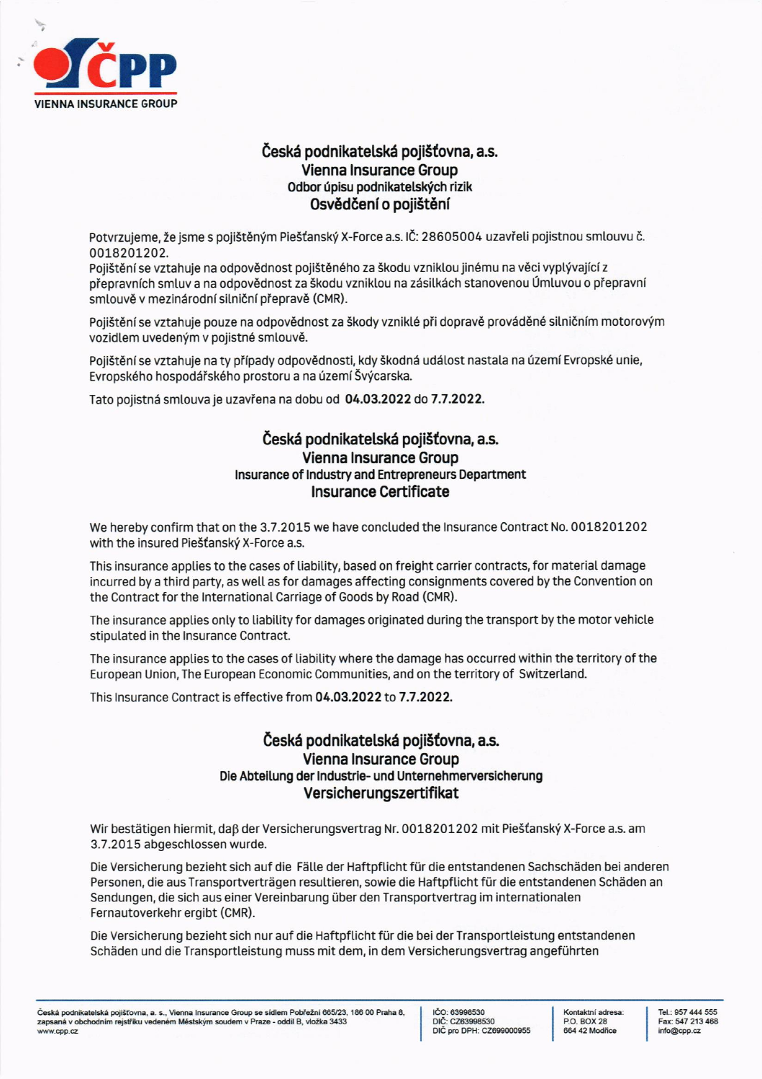

## Česká podnikatelská pojišťovna, a.s. **Vienna Insurance Group** Odbor úpisu podnikatelských rizik Osvědčení o pojištění

Potvrzujeme, že jsme s pojištěným Piešťanský X-Force a.s. IČ: 28605004 uzavřeli pojistnou smlouvu č. 0018201202.

Pojištění se vztahuje na odpovědnost pojištěného za škodu vzniklou jinému na věci vyplývající z přepravních smluv a na odpovědnost za škodu vzniklou na zásilkách stanovenou Úmluvou o přepravní smlouvě v mezinárodní silniční přepravě (CMR).

Pojištění se vztahuje pouze na odpovědnost za škody vzniklé při dopravě prováděné silničním motorovým vozidlem uvedeným v pojistné smlouvě.

Pojištění se vztahuje na ty případy odpovědnosti, kdy škodná událost nastala na území Evropské unie, Evropského hospodářského prostoru a na území Švýcarska.

Tato pojistná smlouva je uzavřena na dobu od 04.03.2022 do 7.7.2022.

## Česká podnikatelská pojišťovna, a.s. **Vienna Insurance Group** Insurance of Industry and Entrepreneurs Department **Insurance Certificate**

We hereby confirm that on the 3.7.2015 we have concluded the Insurance Contract No. 0018201202 with the insured Piešťanský X-Force a.s.

This insurance applies to the cases of liability, based on freight carrier contracts, for material damage incurred by a third party, as well as for damages affecting consignments covered by the Convention on the Contract for the International Carriage of Goods by Road (CMR).

The insurance applies only to liability for damages originated during the transport by the motor vehicle stipulated in the Insurance Contract.

The insurance applies to the cases of liability where the damage has occurred within the territory of the European Union, The European Economic Communities, and on the territory of Switzerland.

This Insurance Contract is effective from 04.03.2022 to 7.7.2022.

## Česká podnikatelská pojišťovna, a.s. **Vienna Insurance Group** Die Abteilung der Industrie- und Unternehmerversicherung Versicherungszertifikat

Wir bestätigen hiermit, daß der Versicherungsvertrag Nr. 0018201202 mit Piešťanský X-Force a.s. am 3.7.2015 abgeschlossen wurde.

Die Versicherung bezieht sich auf die Fälle der Haftpflicht für die entstandenen Sachschäden bei anderen Personen, die aus Transportverträgen resultieren, sowie die Haftpflicht für die entstandenen Schäden an Sendungen, die sich aus einer Vereinbarung über den Transportvertrag im internationalen Fernautoverkehr ergibt (CMR).

Die Versicherung bezieht sich nur auf die Haftpflicht für die bei der Transportleistung entstandenen Schäden und die Transportleistung muss mit dem, in dem Versicherungsvertrag angeführten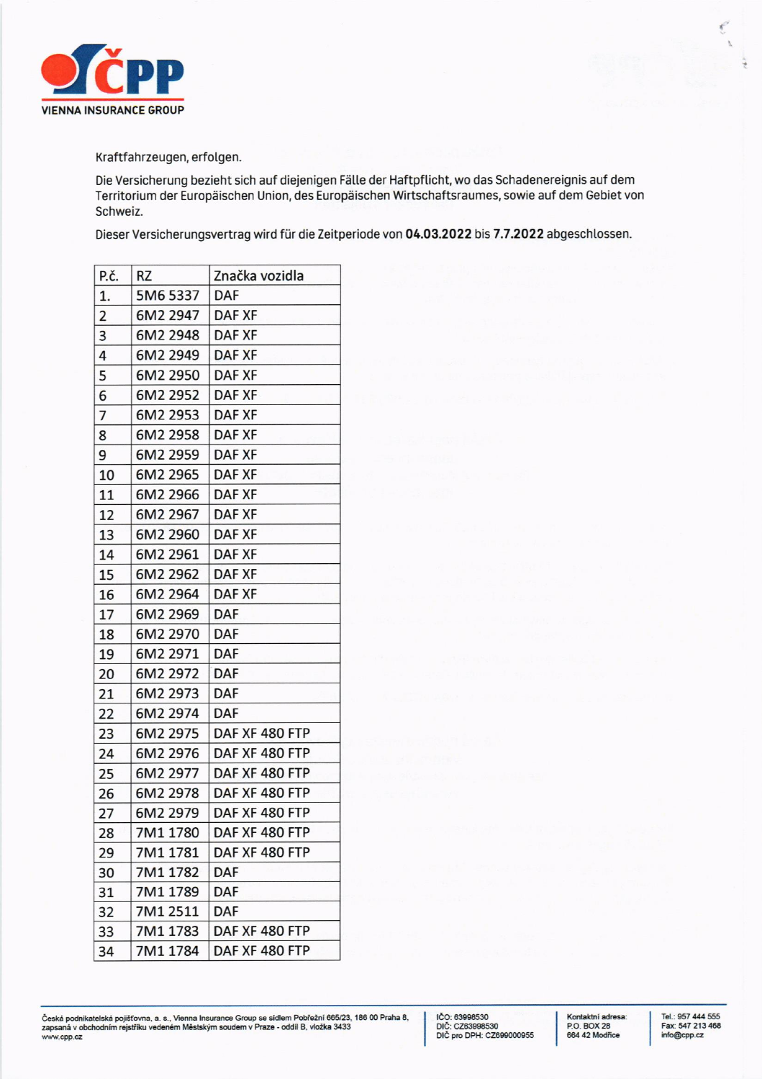

Kraftfahrzeugen, erfolgen.

Die Versicherung bezieht sich auf diejenigen Fälle der Haftpflicht, wo das Schadenereignis auf dem Territorium der Europäischen Union, des Europäischen Wirtschaftsraumes, sowie auf dem Gebiet von Schweiz.

Dieser Versicherungsvertrag wird für die Zeitperiode von 04.03.2022 bis 7.7.2022 abgeschlossen.

| P.č.           | RZ       | Značka vozidla |
|----------------|----------|----------------|
| 1.             | 5M6 5337 | <b>DAF</b>     |
| $\overline{2}$ | 6M2 2947 | DAF XF         |
| 3              | 6M2 2948 | <b>DAF XF</b>  |
| 4              | 6M2 2949 | DAF XF         |
| 5              | 6M2 2950 | <b>DAF XF</b>  |
| 6              | 6M2 2952 | DAF XF         |
| 7              | 6M2 2953 | <b>DAF XF</b>  |
| 8              | 6M2 2958 | <b>DAF XF</b>  |
| 9              | 6M2 2959 | DAF XF         |
| 10             | 6M2 2965 | DAF XF         |
| 11             | 6M2 2966 | <b>DAF XF</b>  |
| 12             | 6M2 2967 | <b>DAF XF</b>  |
| 13             | 6M2 2960 | DAF XF         |
| 14             | 6M2 2961 | <b>DAF XF</b>  |
| 15             | 6M2 2962 | <b>DAF XF</b>  |
| 16             | 6M2 2964 | DAF XF         |
| 17             | 6M2 2969 | <b>DAF</b>     |
| 18             | 6M2 2970 | DAF            |
| 19             | 6M2 2971 | <b>DAF</b>     |
| 20             | 6M2 2972 | <b>DAF</b>     |
| 21             | 6M2 2973 | <b>DAF</b>     |
| 22             | 6M2 2974 | <b>DAF</b>     |
| 23             | 6M2 2975 | DAF XF 480 FTP |
| 24             | 6M2 2976 | DAF XF 480 FTP |
| 25             | 6M2 2977 | DAF XF 480 FTP |
| 26             | 6M2 2978 | DAF XF 480 FTP |
| 27             | 6M2 2979 | DAF XF 480 FTP |
| 28             | 7M1 1780 | DAF XF 480 FTP |
| 29             | 7M1 1781 | DAF XF 480 FTP |
| 30             | 7M1 1782 | <b>DAF</b>     |
| 31             | 7M1 1789 | DAF            |
| 32             | 7M1 2511 | DAF            |
| 33             | 7M1 1783 | DAF XF 480 FTP |
| 34             | 7M1 1784 | DAF XF 480 FTP |

Česká podnikatelská pojišťovna, a. s., Vienna Insurance Group se sídlem Pobřežní 665/23, 186 00 Praha 8,<br>zapsaná v obchodním rejstříku vedeném Městským soudem v Praze - oddíl B, vložka 3433<br>www.cpp.cz

IČO: 63998530<br>DIČ: CZ63998530<br>DIČ pro DPH: CZ699000955

Kontaktní adresa: P.O. BOX 28<br>664 42 Modřice

Tel.: 957 444 555 Fax: 547 213 468 info@cpp.cz